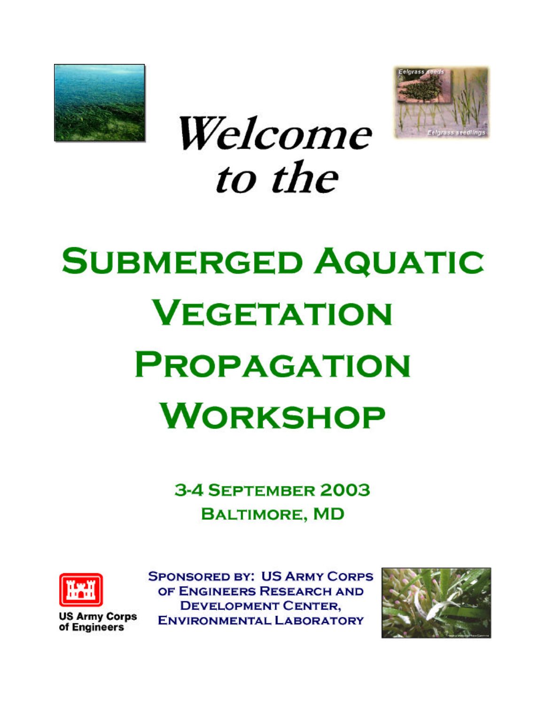



Welcome to the

# **SUBMERGED AQUATIC VEGETATION PROPAGATION WORKSHOP**

3-4 SEPTEMBER 2003 **BALTIMORE, MD** 



**US Army Corps** of Engineers

**SPONSORED BY: US ARMY CORPS** OF ENGINEERS RESEARCH AND **DEVELOPMENT CENTER, ENVIRONMENTAL LABORATORY** 

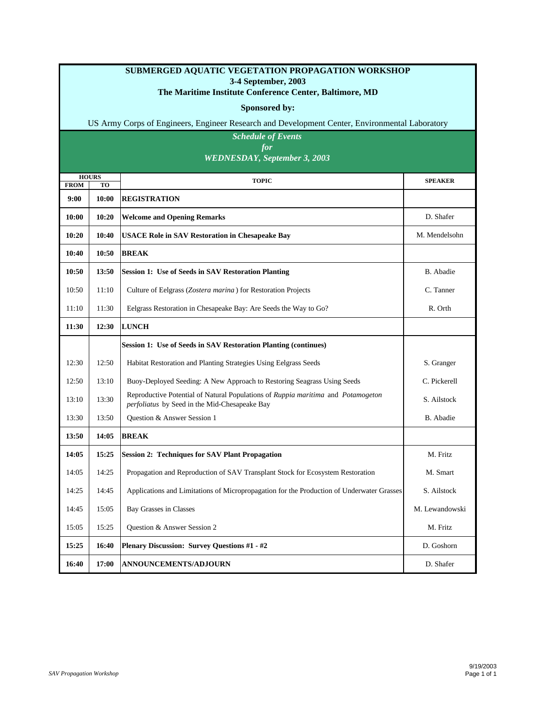#### **SUBMERGED AQUATIC VEGETATION PROPAGATION WORKSHOP 3-4 September, 2003**

#### **The Maritime Institute Conference Center, Baltimore, MD**

#### **Sponsored by:**

US Army Corps of Engineers, Engineer Research and Development Center, Environmental Laboratory

*Schedule of Events for WEDNESDAY, September 3, 2003*

| <b>HOURS</b><br><b>FROM</b><br><b>TO</b> |       | <b>TOPIC</b>                                                                                                                      | <b>SPEAKER</b> |
|------------------------------------------|-------|-----------------------------------------------------------------------------------------------------------------------------------|----------------|
| 9:00                                     | 10:00 | <b>REGISTRATION</b>                                                                                                               |                |
| 10:00                                    | 10:20 | <b>Welcome and Opening Remarks</b>                                                                                                | D. Shafer      |
| 10:20                                    | 10:40 | <b>USACE Role in SAV Restoration in Chesapeake Bay</b>                                                                            | M. Mendelsohn  |
| 10:40                                    | 10:50 | <b>BREAK</b>                                                                                                                      |                |
| 10:50                                    | 13:50 | <b>Session 1: Use of Seeds in SAV Restoration Planting</b>                                                                        | B. Abadie      |
| 10:50                                    | 11:10 | Culture of Eelgrass (Zostera marina) for Restoration Projects                                                                     | C. Tanner      |
| 11:10                                    | 11:30 | Eelgrass Restoration in Chesapeake Bay: Are Seeds the Way to Go?                                                                  | R. Orth        |
| 11:30                                    | 12:30 | <b>LUNCH</b>                                                                                                                      |                |
|                                          |       | Session 1: Use of Seeds in SAV Restoration Planting (continues)                                                                   |                |
| 12:30                                    | 12:50 | Habitat Restoration and Planting Strategies Using Eelgrass Seeds                                                                  | S. Granger     |
| 12:50                                    | 13:10 | Buoy-Deployed Seeding: A New Approach to Restoring Seagrass Using Seeds                                                           | C. Pickerell   |
| 13:10                                    | 13:30 | Reproductive Potential of Natural Populations of Ruppia maritima and Potamogeton<br>perfoliatus by Seed in the Mid-Chesapeake Bay | S. Ailstock    |
| 13:30                                    | 13:50 | Question & Answer Session 1                                                                                                       | B. Abadie      |
| 13:50                                    | 14:05 | <b>BREAK</b>                                                                                                                      |                |
| 14:05                                    | 15:25 | <b>Session 2: Techniques for SAV Plant Propagation</b>                                                                            | M. Fritz       |
| 14:05                                    | 14:25 | Propagation and Reproduction of SAV Transplant Stock for Ecosystem Restoration                                                    | M. Smart       |
| 14:25                                    | 14:45 | Applications and Limitations of Micropropagation for the Production of Underwater Grasses                                         | S. Ailstock    |
| 14:45                                    | 15:05 | Bay Grasses in Classes                                                                                                            | M. Lewandowski |
| 15:05                                    | 15:25 | Question & Answer Session 2                                                                                                       | M. Fritz       |
| 15:25                                    | 16:40 | Plenary Discussion: Survey Questions #1 - #2                                                                                      | D. Goshorn     |
| 16:40                                    | 17:00 | <b>ANNOUNCEMENTS/ADJOURN</b>                                                                                                      | D. Shafer      |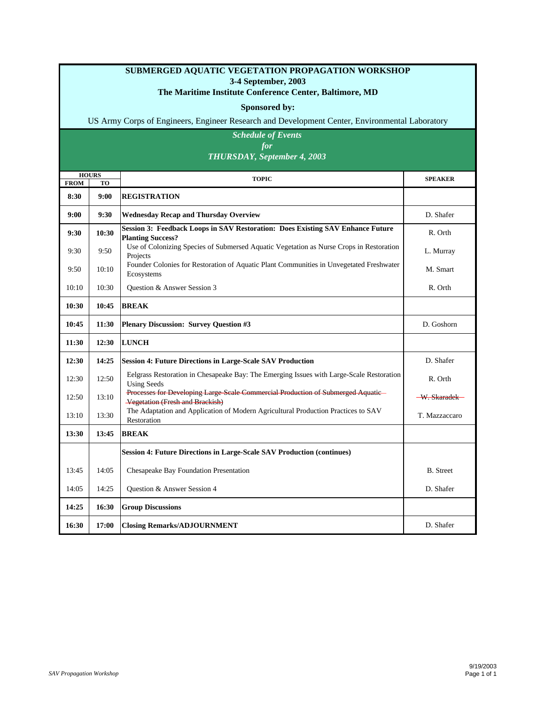#### **SUBMERGED AQUATIC VEGETATION PROPAGATION WORKSHOP 3-4 September, 2003**

#### **The Maritime Institute Conference Center, Baltimore, MD**

#### **Sponsored by:**

US Army Corps of Engineers, Engineer Research and Development Center, Environmental Laboratory

#### *Schedule of Events for THURSDAY, September 4, 2003*

|                     | <b>HOURS</b><br><b>TO</b> | <b>TOPIC</b>                                                                                                               | <b>SPEAKER</b>           |
|---------------------|---------------------------|----------------------------------------------------------------------------------------------------------------------------|--------------------------|
| <b>FROM</b><br>8:30 | 9:00                      | <b>REGISTRATION</b>                                                                                                        |                          |
| 9:00                | 9:30                      | <b>Wednesday Recap and Thursday Overview</b>                                                                               | D. Shafer                |
| 9:30                | 10:30                     | Session 3: Feedback Loops in SAV Restoration: Does Existing SAV Enhance Future<br><b>Planting Success?</b>                 | R. Orth                  |
| 9:30                | 9:50                      | Use of Colonizing Species of Submersed Aquatic Vegetation as Nurse Crops in Restoration<br>Projects                        | L. Murray                |
| 9:50                | 10:10                     | Founder Colonies for Restoration of Aquatic Plant Communities in Unvegetated Freshwater<br>Ecosystems                      | M. Smart                 |
| 10:10               | 10:30                     | Question & Answer Session 3                                                                                                | R. Orth                  |
| 10:30               | 10:45                     | <b>BREAK</b>                                                                                                               |                          |
| 10:45               | 11:30                     | <b>Plenary Discussion: Survey Question #3</b>                                                                              | D. Goshorn               |
| 11:30               | 12:30                     | <b>LUNCH</b>                                                                                                               |                          |
| 12:30               | 14:25                     | <b>Session 4: Future Directions in Large-Scale SAV Production</b>                                                          | D. Shafer                |
| 12:30               | 12:50                     | Eelgrass Restoration in Chesapeake Bay: The Emerging Issues with Large-Scale Restoration<br><b>Using Seeds</b>             | R. Orth                  |
| 12:50               | 13:10                     | Processes for Developing Large-Seale Commercial Production of Submerged Aquatic-<br><b>Vegetation (Fresh and Brackish)</b> | <del>-W. Skaradek-</del> |
| 13:10               | 13:30                     | The Adaptation and Application of Modern Agricultural Production Practices to SAV<br>Restoration                           | T. Mazzaccaro            |
| 13:30               | 13:45                     | <b>BREAK</b>                                                                                                               |                          |
|                     |                           | Session 4: Future Directions in Large-Scale SAV Production (continues)                                                     |                          |
| 13:45               | 14:05                     | Chesapeake Bay Foundation Presentation                                                                                     | <b>B.</b> Street         |
| 14:05               | 14:25                     | Question & Answer Session 4                                                                                                | D. Shafer                |
| 14:25               | 16:30                     | <b>Group Discussions</b>                                                                                                   |                          |
| 16:30               | 17:00                     | <b>Closing Remarks/ADJOURNMENT</b>                                                                                         | D. Shafer                |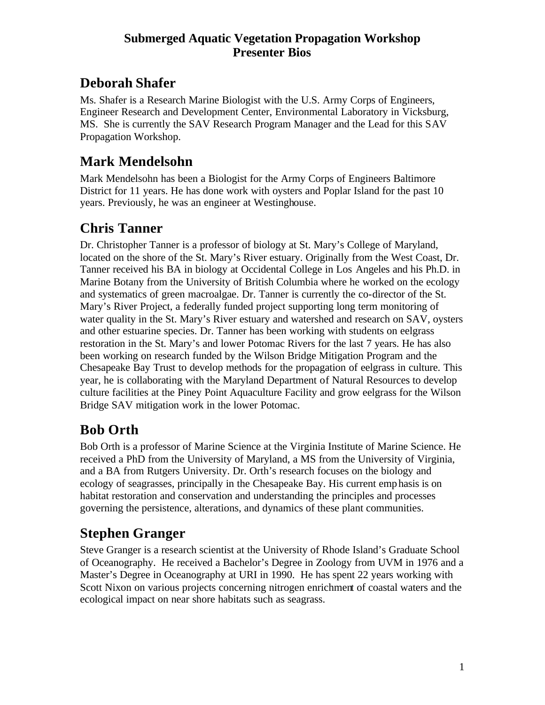#### **Submerged Aquatic Vegetation Propagation Workshop Presenter Bios**

## **Deborah Shafer**

Ms. Shafer is a Research Marine Biologist with the U.S. Army Corps of Engineers, Engineer Research and Development Center, Environmental Laboratory in Vicksburg, MS. She is currently the SAV Research Program Manager and the Lead for this SAV Propagation Workshop.

#### **Mark Mendelsohn**

Mark Mendelsohn has been a Biologist for the Army Corps of Engineers Baltimore District for 11 years. He has done work with oysters and Poplar Island for the past 10 years. Previously, he was an engineer at Westinghouse.

## **Chris Tanner**

Dr. Christopher Tanner is a professor of biology at St. Mary's College of Maryland, located on the shore of the St. Mary's River estuary. Originally from the West Coast, Dr. Tanner received his BA in biology at Occidental College in Los Angeles and his Ph.D. in Marine Botany from the University of British Columbia where he worked on the ecology and systematics of green macroalgae. Dr. Tanner is currently the co-director of the St. Mary's River Project, a federally funded project supporting long term monitoring of water quality in the St. Mary's River estuary and watershed and research on SAV, oysters and other estuarine species. Dr. Tanner has been working with students on eelgrass restoration in the St. Mary's and lower Potomac Rivers for the last 7 years. He has also been working on research funded by the Wilson Bridge Mitigation Program and the Chesapeake Bay Trust to develop methods for the propagation of eelgrass in culture. This year, he is collaborating with the Maryland Department of Natural Resources to develop culture facilities at the Piney Point Aquaculture Facility and grow eelgrass for the Wilson Bridge SAV mitigation work in the lower Potomac.

## **Bob Orth**

Bob Orth is a professor of Marine Science at the Virginia Institute of Marine Science. He received a PhD from the University of Maryland, a MS from the University of Virginia, and a BA from Rutgers University. Dr. Orth's research focuses on the biology and ecology of seagrasses, principally in the Chesapeake Bay. His current emphasis is on habitat restoration and conservation and understanding the principles and processes governing the persistence, alterations, and dynamics of these plant communities.

## **Stephen Granger**

Steve Granger is a research scientist at the University of Rhode Island's Graduate School of Oceanography. He received a Bachelor's Degree in Zoology from UVM in 1976 and a Master's Degree in Oceanography at URI in 1990. He has spent 22 years working with Scott Nixon on various projects concerning nitrogen enrichment of coastal waters and the ecological impact on near shore habitats such as seagrass.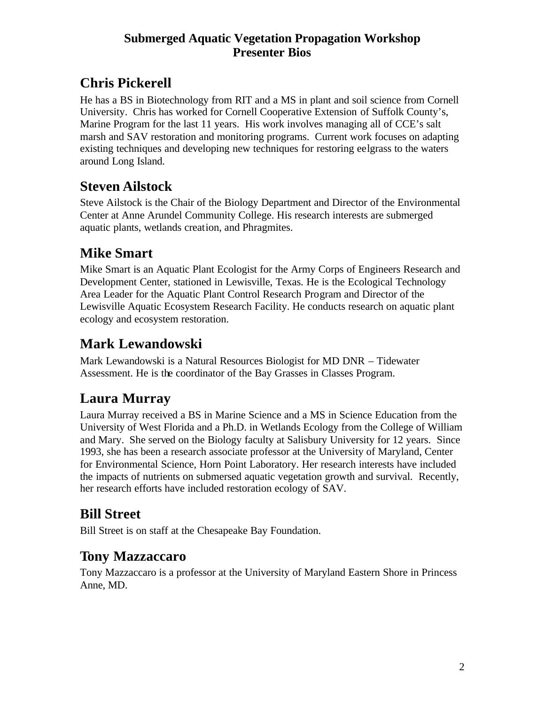#### **Submerged Aquatic Vegetation Propagation Workshop Presenter Bios**

## **Chris Pickerell**

He has a BS in Biotechnology from RIT and a MS in plant and soil science from Cornell University. Chris has worked for Cornell Cooperative Extension of Suffolk County's, Marine Program for the last 11 years. His work involves managing all of CCE's salt marsh and SAV restoration and monitoring programs. Current work focuses on adapting existing techniques and developing new techniques for restoring eelgrass to the waters around Long Island.

#### **Steven Ailstock**

Steve Ailstock is the Chair of the Biology Department and Director of the Environmental Center at Anne Arundel Community College. His research interests are submerged aquatic plants, wetlands creation, and Phragmites.

## **Mike Smart**

Mike Smart is an Aquatic Plant Ecologist for the Army Corps of Engineers Research and Development Center, stationed in Lewisville, Texas. He is the Ecological Technology Area Leader for the Aquatic Plant Control Research Program and Director of the Lewisville Aquatic Ecosystem Research Facility. He conducts research on aquatic plant ecology and ecosystem restoration.

## **Mark Lewandowski**

Mark Lewandowski is a Natural Resources Biologist for MD DNR – Tidewater Assessment. He is the coordinator of the Bay Grasses in Classes Program.

## **Laura Murray**

Laura Murray received a BS in Marine Science and a MS in Science Education from the University of West Florida and a Ph.D. in Wetlands Ecology from the College of William and Mary. She served on the Biology faculty at Salisbury University for 12 years. Since 1993, she has been a research associate professor at the University of Maryland, Center for Environmental Science, Horn Point Laboratory. Her research interests have included the impacts of nutrients on submersed aquatic vegetation growth and survival. Recently, her research efforts have included restoration ecology of SAV.

#### **Bill Street**

Bill Street is on staff at the Chesapeake Bay Foundation.

#### **Tony Mazzaccaro**

Tony Mazzaccaro is a professor at the University of Maryland Eastern Shore in Princess Anne, MD.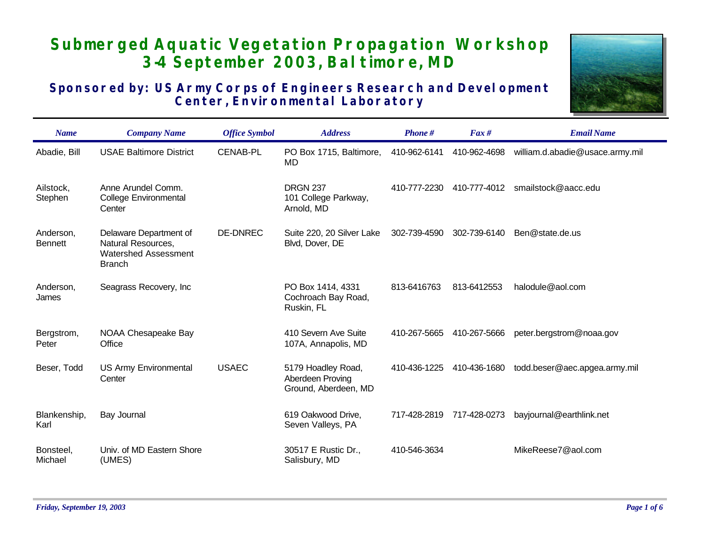## **Submerged Aquatic Vegetation Propagation Workshop 3-4 September 2003, Baltimore, MD**

#### **Sponsored by: US Army Corps of Engineers Research and Development Center, Environmental Laboratory**



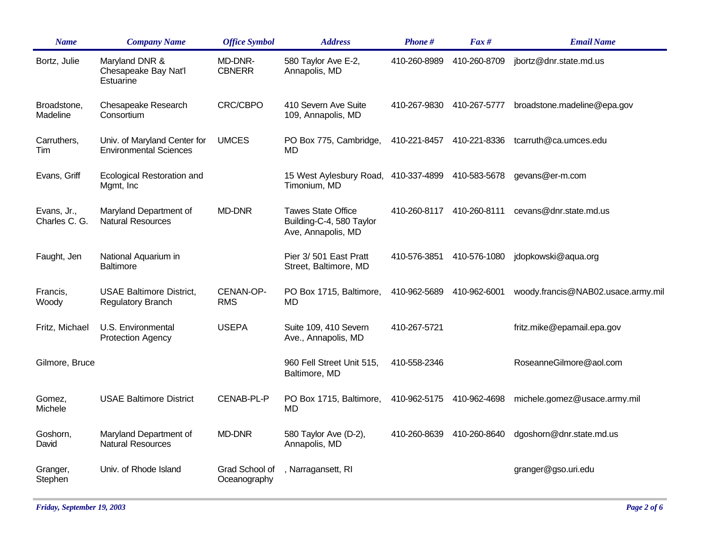| <b>Name</b>                  | <b>Company Name</b>                                           | <b>Office Symbol</b>           | <b>Address</b>                                                              | Phone#       | $\int$ Fax #              | <b>Email Name</b>                  |
|------------------------------|---------------------------------------------------------------|--------------------------------|-----------------------------------------------------------------------------|--------------|---------------------------|------------------------------------|
| Bortz, Julie                 | Maryland DNR &<br>Chesapeake Bay Nat'l<br>Estuarine           | MD-DNR-<br><b>CBNERR</b>       | 580 Taylor Ave E-2,<br>Annapolis, MD                                        | 410-260-8989 | 410-260-8709              | jbortz@dnr.state.md.us             |
| Broadstone,<br>Madeline      | Chesapeake Research<br>Consortium                             | <b>CRC/CBPO</b>                | 410 Severn Ave Suite<br>109, Annapolis, MD                                  | 410-267-9830 | 410-267-5777              | broadstone.madeline@epa.gov        |
| Carruthers,<br>Tim           | Univ. of Maryland Center for<br><b>Environmental Sciences</b> | <b>UMCES</b>                   | PO Box 775, Cambridge,<br>MD                                                |              | 410-221-8457 410-221-8336 | tcarruth@ca.umces.edu              |
| Evans, Griff                 | <b>Ecological Restoration and</b><br>Mgmt, Inc.               |                                | 15 West Aylesbury Road, 410-337-4899 410-583-5678<br>Timonium, MD           |              |                           | gevans@er-m.com                    |
| Evans, Jr.,<br>Charles C. G. | Maryland Department of<br><b>Natural Resources</b>            | <b>MD-DNR</b>                  | <b>Tawes State Office</b><br>Building-C-4, 580 Taylor<br>Ave, Annapolis, MD | 410-260-8117 | 410-260-8111              | cevans@dnr.state.md.us             |
| Faught, Jen                  | National Aquarium in<br><b>Baltimore</b>                      |                                | Pier 3/501 East Pratt<br>Street, Baltimore, MD                              | 410-576-3851 | 410-576-1080              | jdopkowski@aqua.org                |
| Francis,<br>Woody            | <b>USAE Baltimore District,</b><br><b>Regulatory Branch</b>   | CENAN-OP-<br><b>RMS</b>        | PO Box 1715, Baltimore,<br>MD                                               | 410-962-5689 | 410-962-6001              | woody.francis@NAB02.usace.army.mil |
| Fritz, Michael               | U.S. Environmental<br><b>Protection Agency</b>                | <b>USEPA</b>                   | Suite 109, 410 Severn<br>Ave., Annapolis, MD                                | 410-267-5721 |                           | fritz.mike@epamail.epa.gov         |
| Gilmore, Bruce               |                                                               |                                | 960 Fell Street Unit 515,<br>Baltimore, MD                                  | 410-558-2346 |                           | RoseanneGilmore@aol.com            |
| Gomez,<br>Michele            | <b>USAE Baltimore District</b>                                | CENAB-PL-P                     | PO Box 1715, Baltimore,<br><b>MD</b>                                        |              | 410-962-5175 410-962-4698 | michele.gomez@usace.army.mil       |
| Goshorn,<br>David            | Maryland Department of<br><b>Natural Resources</b>            | <b>MD-DNR</b>                  | 580 Taylor Ave (D-2),<br>Annapolis, MD                                      | 410-260-8639 | 410-260-8640              | dgoshorn@dnr.state.md.us           |
| Granger,<br>Stephen          | Univ. of Rhode Island                                         | Grad School of<br>Oceanography | , Narragansett, RI                                                          |              |                           | granger@gso.uri.edu                |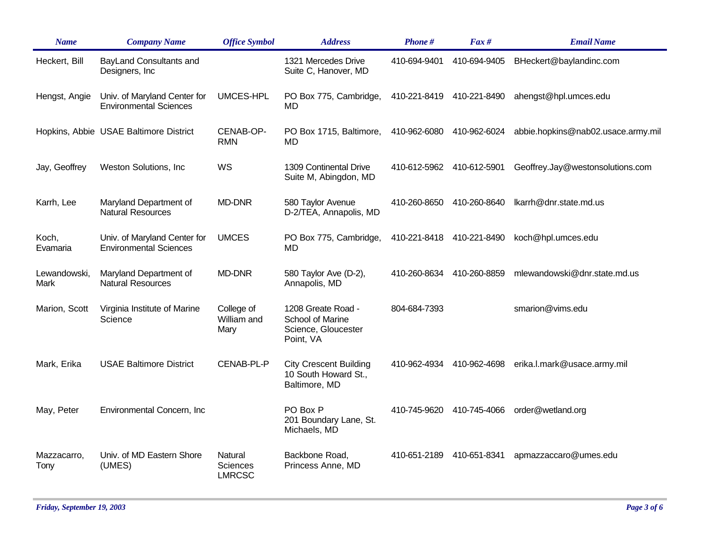| <b>Name</b>          | <b>Company Name</b>                                           | <b>Office Symbol</b>                 | <b>Address</b>                                                             | Phone#       | $\int$ Fax # | <b>Email Name</b>                  |
|----------------------|---------------------------------------------------------------|--------------------------------------|----------------------------------------------------------------------------|--------------|--------------|------------------------------------|
| Heckert, Bill        | BayLand Consultants and<br>Designers, Inc                     |                                      | 1321 Mercedes Drive<br>Suite C, Hanover, MD                                | 410-694-9401 | 410-694-9405 | BHeckert@baylandinc.com            |
| Hengst, Angie        | Univ. of Maryland Center for<br><b>Environmental Sciences</b> | <b>UMCES-HPL</b>                     | PO Box 775, Cambridge,<br>MD                                               | 410-221-8419 | 410-221-8490 | ahengst@hpl.umces.edu              |
|                      | Hopkins, Abbie USAE Baltimore District                        | CENAB-OP-<br><b>RMN</b>              | PO Box 1715, Baltimore,<br>MD                                              | 410-962-6080 | 410-962-6024 | abbie.hopkins@nab02.usace.army.mil |
| Jay, Geoffrey        | Weston Solutions, Inc.                                        | WS                                   | 1309 Continental Drive<br>Suite M, Abingdon, MD                            | 410-612-5962 | 410-612-5901 | Geoffrey.Jay@westonsolutions.com   |
| Karrh, Lee           | Maryland Department of<br><b>Natural Resources</b>            | <b>MD-DNR</b>                        | 580 Taylor Avenue<br>D-2/TEA, Annapolis, MD                                | 410-260-8650 | 410-260-8640 | lkarrh@dnr.state.md.us             |
| Koch,<br>Evamaria    | Univ. of Maryland Center for<br><b>Environmental Sciences</b> | <b>UMCES</b>                         | PO Box 775, Cambridge,<br>MD                                               | 410-221-8418 | 410-221-8490 | koch@hpl.umces.edu                 |
| Lewandowski,<br>Mark | Maryland Department of<br><b>Natural Resources</b>            | <b>MD-DNR</b>                        | 580 Taylor Ave (D-2),<br>Annapolis, MD                                     | 410-260-8634 | 410-260-8859 | mlewandowski@dnr.state.md.us       |
| Marion, Scott        | Virginia Institute of Marine<br>Science                       | College of<br>William and<br>Mary    | 1208 Greate Road -<br>School of Marine<br>Science, Gloucester<br>Point, VA | 804-684-7393 |              | smarion@vims.edu                   |
| Mark, Erika          | <b>USAE Baltimore District</b>                                | CENAB-PL-P                           | <b>City Crescent Building</b><br>10 South Howard St.,<br>Baltimore, MD     | 410-962-4934 | 410-962-4698 | erika.l.mark@usace.army.mil        |
| May, Peter           | Environmental Concern, Inc                                    |                                      | PO Box P<br>201 Boundary Lane, St.<br>Michaels, MD                         | 410-745-9620 | 410-745-4066 | order@wetland.org                  |
| Mazzacarro,<br>Tony  | Univ. of MD Eastern Shore<br>(UMES)                           | Natural<br>Sciences<br><b>LMRCSC</b> | Backbone Road,<br>Princess Anne, MD                                        | 410-651-2189 | 410-651-8341 | apmazzaccaro@umes.edu              |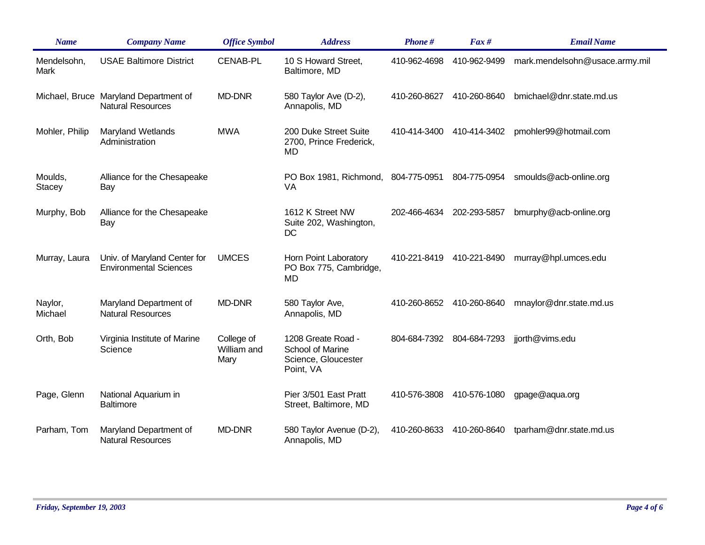| <b>Name</b>         | <b>Company Name</b>                                               | <b>Office Symbol</b>              | <b>Address</b>                                                             | Phone#       | $\int$ Fax # | <b>Email Name</b>              |
|---------------------|-------------------------------------------------------------------|-----------------------------------|----------------------------------------------------------------------------|--------------|--------------|--------------------------------|
| Mendelsohn,<br>Mark | <b>USAE Baltimore District</b>                                    | <b>CENAB-PL</b>                   | 10 S Howard Street,<br>Baltimore, MD                                       | 410-962-4698 | 410-962-9499 | mark.mendelsohn@usace.army.mil |
|                     | Michael, Bruce Maryland Department of<br><b>Natural Resources</b> | <b>MD-DNR</b>                     | 580 Taylor Ave (D-2),<br>Annapolis, MD                                     | 410-260-8627 | 410-260-8640 | bmichael@dnr.state.md.us       |
| Mohler, Philip      | <b>Maryland Wetlands</b><br>Administration                        | <b>MWA</b>                        | 200 Duke Street Suite<br>2700, Prince Frederick,<br>MD                     | 410-414-3400 | 410-414-3402 | pmohler99@hotmail.com          |
| Moulds,<br>Stacey   | Alliance for the Chesapeake<br>Bay                                |                                   | PO Box 1981, Richmond, 804-775-0951 804-775-0954<br>VA                     |              |              | smoulds@acb-online.org         |
| Murphy, Bob         | Alliance for the Chesapeake<br>Bay                                |                                   | 1612 K Street NW<br>Suite 202, Washington,<br>DC                           | 202-466-4634 | 202-293-5857 | bmurphy@acb-online.org         |
| Murray, Laura       | Univ. of Maryland Center for<br><b>Environmental Sciences</b>     | <b>UMCES</b>                      | Horn Point Laboratory<br>PO Box 775, Cambridge,<br>MD                      | 410-221-8419 | 410-221-8490 | murray@hpl.umces.edu           |
| Naylor,<br>Michael  | Maryland Department of<br><b>Natural Resources</b>                | <b>MD-DNR</b>                     | 580 Taylor Ave,<br>Annapolis, MD                                           | 410-260-8652 | 410-260-8640 | mnaylor@dnr.state.md.us        |
| Orth, Bob           | Virginia Institute of Marine<br>Science                           | College of<br>William and<br>Mary | 1208 Greate Road -<br>School of Marine<br>Science, Gloucester<br>Point, VA | 804-684-7392 | 804-684-7293 | jjorth@vims.edu                |
| Page, Glenn         | National Aquarium in<br><b>Baltimore</b>                          |                                   | Pier 3/501 East Pratt<br>Street, Baltimore, MD                             | 410-576-3808 | 410-576-1080 | gpage@aqua.org                 |
| Parham, Tom         | Maryland Department of<br><b>Natural Resources</b>                | <b>MD-DNR</b>                     | 580 Taylor Avenue (D-2),<br>Annapolis, MD                                  | 410-260-8633 | 410-260-8640 | tparham@dnr.state.md.us        |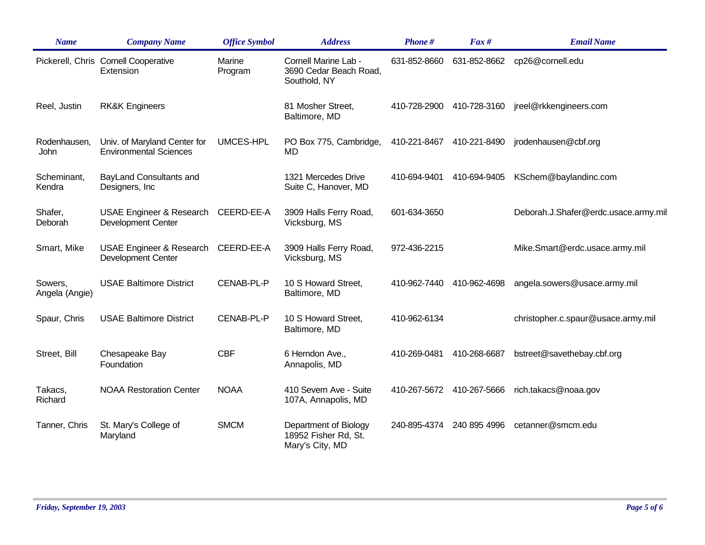| <b>Name</b>               | <b>Company Name</b>                                              | <b>Office Symbol</b> | <b>Address</b>                                                   | Phone#       | $\int$ Fax # | <b>Email Name</b>                    |
|---------------------------|------------------------------------------------------------------|----------------------|------------------------------------------------------------------|--------------|--------------|--------------------------------------|
|                           | Pickerell, Chris Cornell Cooperative<br>Extension                | Marine<br>Program    | Cornell Marine Lab -<br>3690 Cedar Beach Road,<br>Southold, NY   | 631-852-8660 | 631-852-8662 | cp26@cornell.edu                     |
| Reel, Justin              | <b>RK&amp;K Engineers</b>                                        |                      | 81 Mosher Street,<br>Baltimore, MD                               | 410-728-2900 | 410-728-3160 | jreel@rkkengineers.com               |
| Rodenhausen,<br>John      | Univ. of Maryland Center for<br><b>Environmental Sciences</b>    | <b>UMCES-HPL</b>     | PO Box 775, Cambridge,<br>MD                                     | 410-221-8467 | 410-221-8490 | jrodenhausen@cbf.org                 |
| Scheminant,<br>Kendra     | BayLand Consultants and<br>Designers, Inc.                       |                      | 1321 Mercedes Drive<br>Suite C, Hanover, MD                      | 410-694-9401 | 410-694-9405 | KSchem@baylandinc.com                |
| Shafer,<br>Deborah        | USAE Engineer & Research CEERD-EE-A<br><b>Development Center</b> |                      | 3909 Halls Ferry Road,<br>Vicksburg, MS                          | 601-634-3650 |              | Deborah.J.Shafer@erdc.usace.army.mil |
| Smart, Mike               | USAE Engineer & Research CEERD-EE-A<br><b>Development Center</b> |                      | 3909 Halls Ferry Road,<br>Vicksburg, MS                          | 972-436-2215 |              | Mike.Smart@erdc.usace.army.mil       |
| Sowers,<br>Angela (Angie) | <b>USAE Baltimore District</b>                                   | CENAB-PL-P           | 10 S Howard Street,<br>Baltimore, MD                             | 410-962-7440 | 410-962-4698 | angela.sowers@usace.army.mil         |
| Spaur, Chris              | <b>USAE Baltimore District</b>                                   | CENAB-PL-P           | 10 S Howard Street,<br>Baltimore, MD                             | 410-962-6134 |              | christopher.c.spaur@usace.army.mil   |
| Street, Bill              | Chesapeake Bay<br>Foundation                                     | <b>CBF</b>           | 6 Herndon Ave.,<br>Annapolis, MD                                 | 410-269-0481 | 410-268-6687 | bstreet@savethebay.cbf.org           |
| Takacs,<br>Richard        | <b>NOAA Restoration Center</b>                                   | <b>NOAA</b>          | 410 Severn Ave - Suite<br>107A, Annapolis, MD                    | 410-267-5672 | 410-267-5666 | rich.takacs@noaa.gov                 |
| Tanner, Chris             | St. Mary's College of<br>Maryland                                | <b>SMCM</b>          | Department of Biology<br>18952 Fisher Rd, St.<br>Mary's City, MD | 240-895-4374 | 240 895 4996 | cetanner@smcm.edu                    |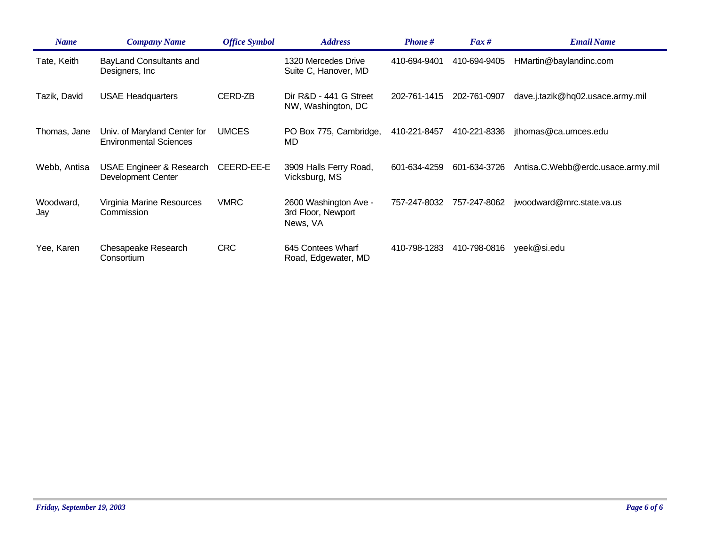| <b>Name</b>      | <b>Company Name</b>                                              | <b>Office Symbol</b> | <b>Address</b>                                          | <b>Phone</b> # | $\int$ Fax # | <b>Email Name</b>                 |
|------------------|------------------------------------------------------------------|----------------------|---------------------------------------------------------|----------------|--------------|-----------------------------------|
| Tate, Keith      | BayLand Consultants and<br>Designers, Inc.                       |                      | 1320 Mercedes Drive<br>Suite C, Hanover, MD             | 410-694-9401   | 410-694-9405 | HMartin@baylandinc.com            |
| Tazik, David     | <b>USAE Headquarters</b>                                         | CERD-ZB              | Dir R&D - 441 G Street<br>NW, Washington, DC            | 202-761-1415   | 202-761-0907 | dave.j.tazik@hq02.usace.army.mil  |
| Thomas, Jane     | Univ. of Maryland Center for<br><b>Environmental Sciences</b>    | <b>UMCES</b>         | PO Box 775, Cambridge,<br>MD                            | 410-221-8457   | 410-221-8336 | jthomas@ca.umces.edu              |
| Webb, Antisa     | <b>USAE Engineer &amp; Research</b><br><b>Development Center</b> | CEERD-EE-E           | 3909 Halls Ferry Road,<br>Vicksburg, MS                 | 601-634-4259   | 601-634-3726 | Antisa.C.Webb@erdc.usace.army.mil |
| Woodward,<br>Jay | Virginia Marine Resources<br>Commission                          | <b>VMRC</b>          | 2600 Washington Ave -<br>3rd Floor, Newport<br>News, VA | 757-247-8032   | 757-247-8062 | jwoodward@mrc.state.va.us         |
| Yee, Karen       | Chesapeake Research<br>Consortium                                | <b>CRC</b>           | 645 Contees Wharf<br>Road, Edgewater, MD                | 410-798-1283   | 410-798-0816 | yeek@si.edu                       |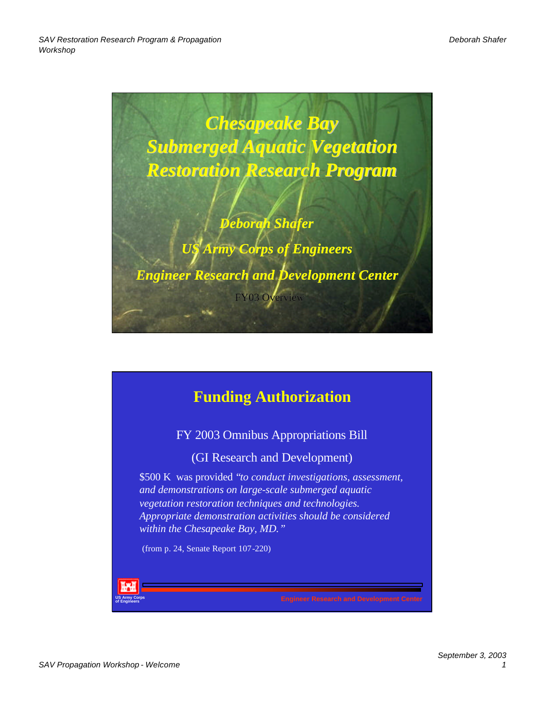

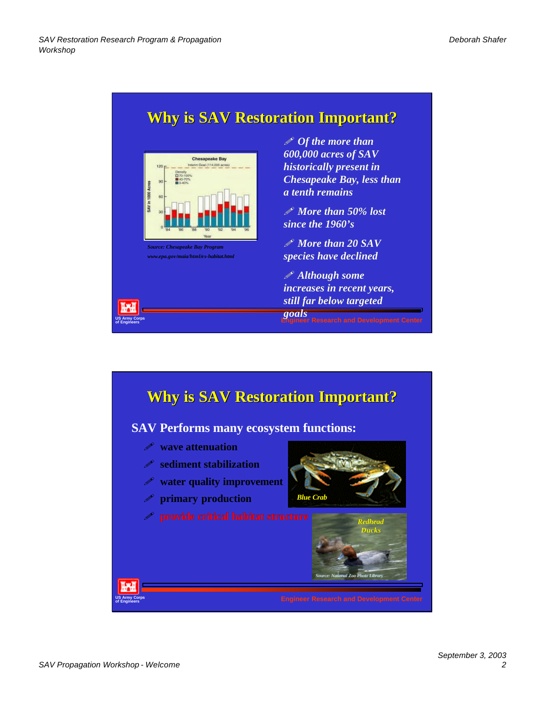**US Army Corps**

## **Why is SAV Restoration Important?**



*Source: Chesapeake Bay Program www.epa.gov/maia/html/es-habitat.html* ! *Of the more than 600,000 acres of SAV historically present in Chesapeake Bay, less than a tenth remains*

! *More than 50% lost since the 1960's*

! *More than 20 SAV species have declined*

! *Although some increases in recent years, still far below targeted goals*

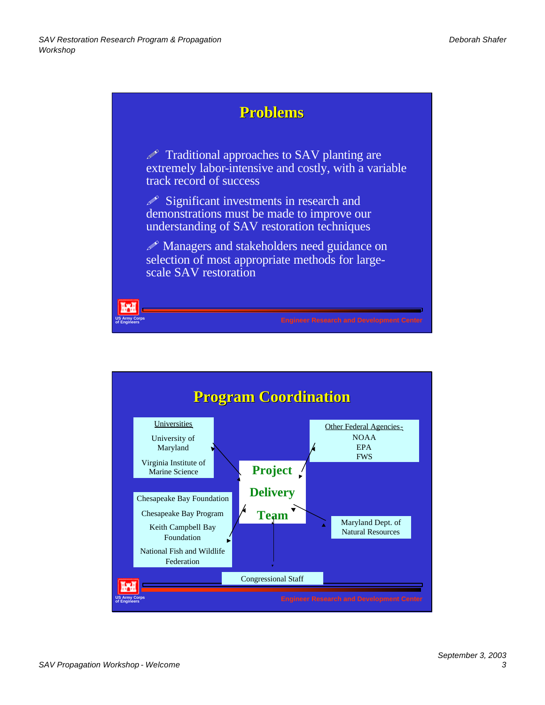

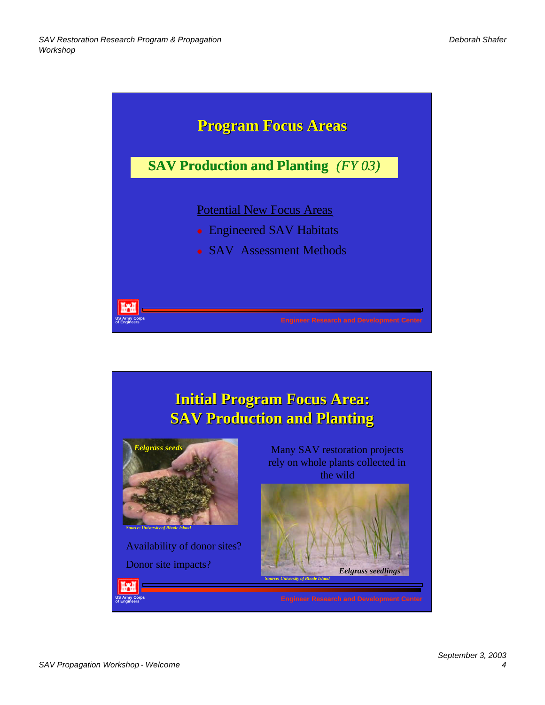

# **Initial Program Focus Area: SAV Production and Planting**



Availability of donor sites?

ĭж **Army Corp** 

Many SAV restoration projects rely on whole plants collected in the wild

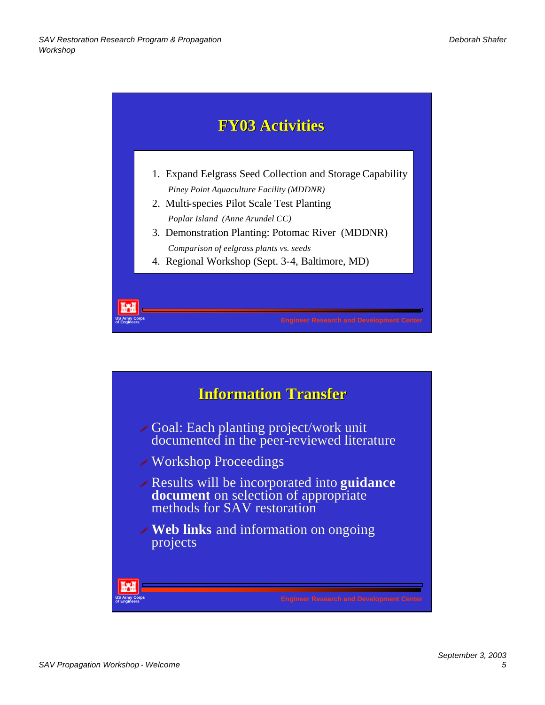

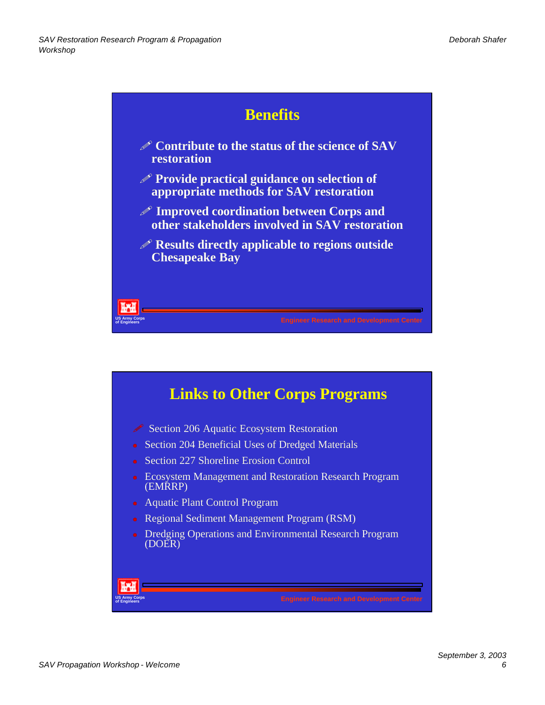

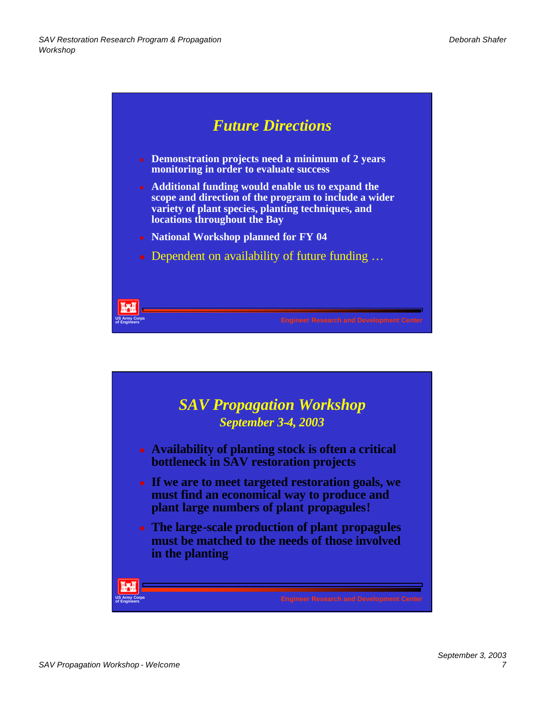

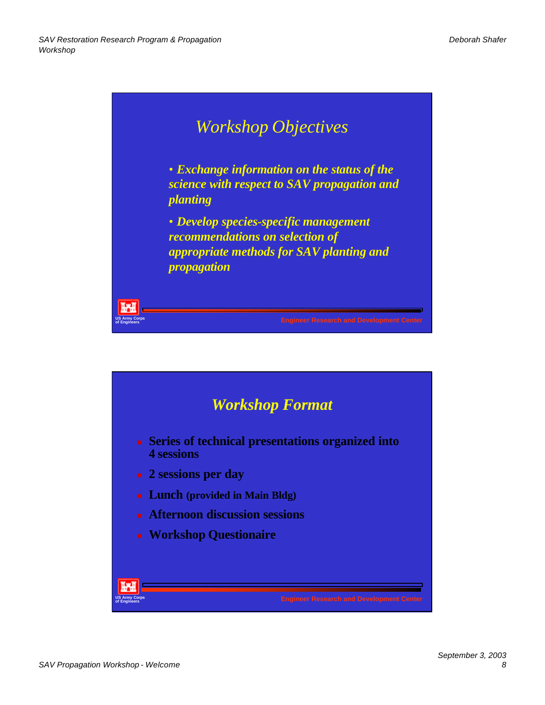

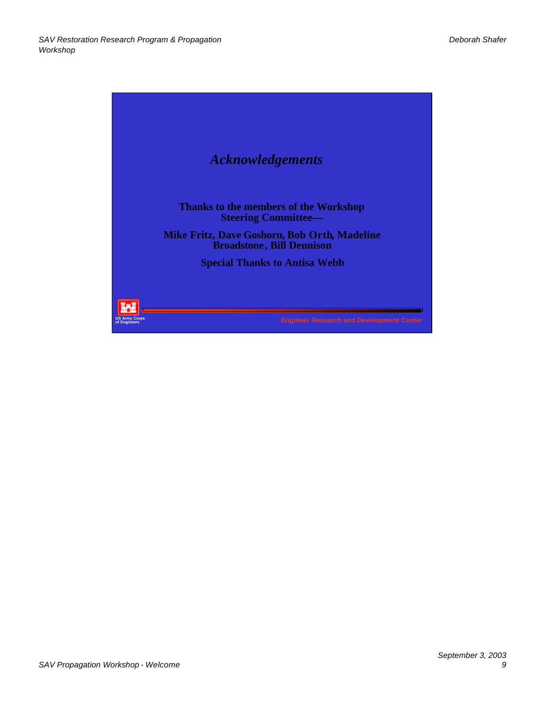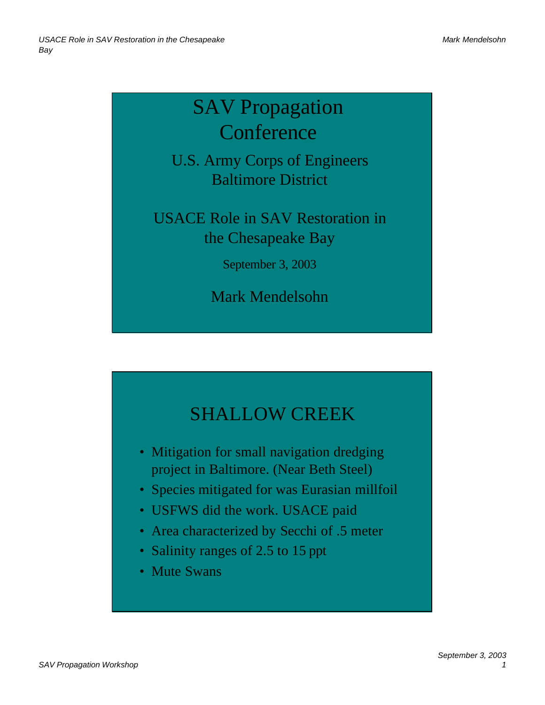# SAV Propagation **Conference**

U.S. Army Corps of Engineers Baltimore District

USACE Role in SAV Restoration in the Chesapeake Bay

September 3, 2003

Mark Mendelsohn

# SHALLOW CREEK

- Mitigation for small navigation dredging project in Baltimore. (Near Beth Steel)
- Species mitigated for was Eurasian millfoil
- USFWS did the work. USACE paid
- Area characterized by Secchi of .5 meter
- Salinity ranges of 2.5 to 15 ppt
- Mute Swans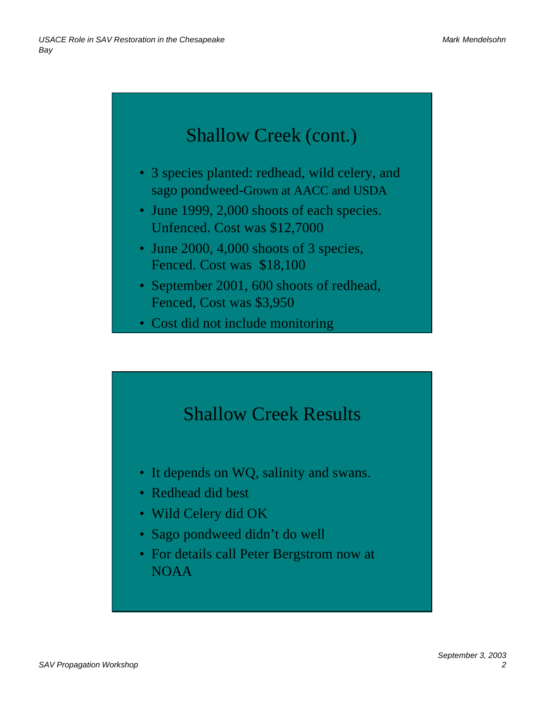# Shallow Creek (cont.)

- 3 species planted: redhead, wild celery, and sago pondweed-Grown at AACC and USDA
- June 1999, 2,000 shoots of each species. Unfenced. Cost was \$12,7000
- June 2000, 4,000 shoots of 3 species, Fenced. Cost was \$18,100
- September 2001, 600 shoots of redhead, Fenced, Cost was \$3,950
- Cost did not include monitoring

# Shallow Creek Results

- It depends on WQ, salinity and swans.
- Redhead did best
- Wild Celery did OK
- Sago pondweed didn't do well
- For details call Peter Bergstrom now at NOAA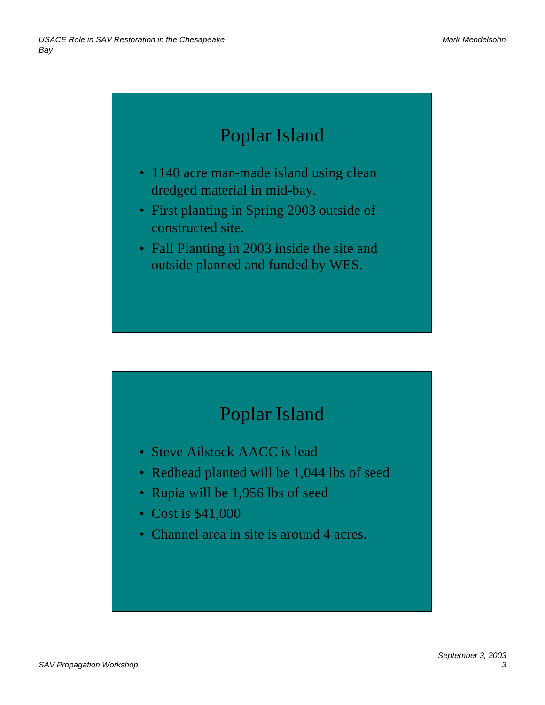# Poplar Island

- 1140 acre man-made island using clean dredged material in mid-bay.
- First planting in Spring 2003 outside of constructed site.
- Fall Planting in 2003 inside the site and outside planned and funded by WES.

## Poplar Island

- Steve Ailstock AACC is lead
- Redhead planted will be 1,044 lbs of seed
- Rupia will be 1,956 lbs of seed
- Cost is \$41,000
- Channel area in site is around 4 acres.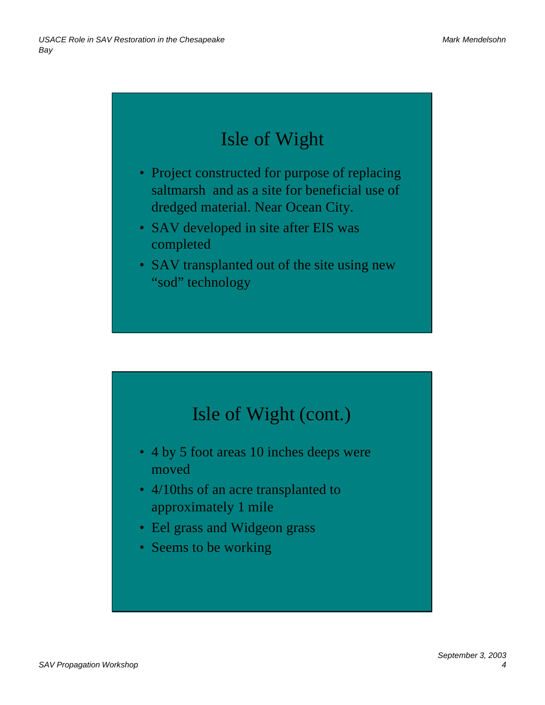# Isle of Wight

- Project constructed for purpose of replacing saltmarsh and as a site for beneficial use of dredged material. Near Ocean City.
- SAV developed in site after EIS was completed
- SAV transplanted out of the site using new "sod" technology

# Isle of Wight (cont.)

- 4 by 5 foot areas 10 inches deeps were moved
- 4/10ths of an acre transplanted to approximately 1 mile
- Eel grass and Widgeon grass
- Seems to be working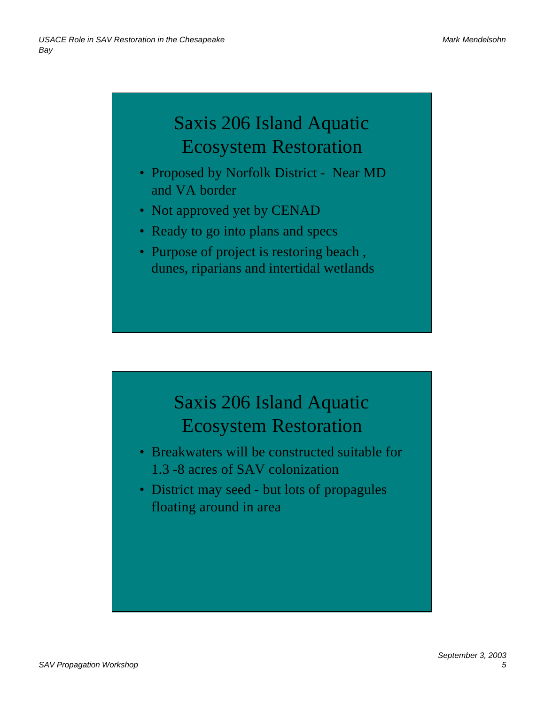# Saxis 206 Island Aquatic Ecosystem Restoration

- Proposed by Norfolk District Near MD and VA border
- Not approved yet by CENAD
- Ready to go into plans and specs
- Purpose of project is restoring beach, dunes, riparians and intertidal wetlands

## Saxis 206 Island Aquatic Ecosystem Restoration

- Breakwaters will be constructed suitable for 1.3 -8 acres of SAV colonization
- District may seed but lots of propagules floating around in area